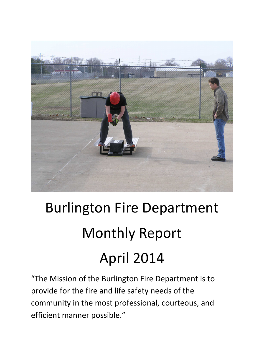

# Burlington Fire Department Monthly Report April 2014

"The Mission of the Burlington Fire Department is to provide for the fire and life safety needs of the community in the most professional, courteous, and efficient manner possible."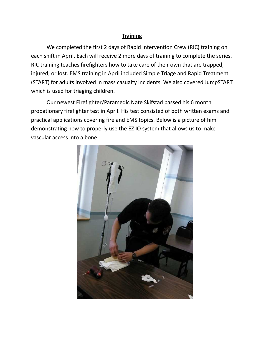### **Training**

 We completed the first 2 days of Rapid Intervention Crew (RIC) training on each shift in April. Each will receive 2 more days of training to complete the series. RIC training teaches firefighters how to take care of their own that are trapped, injured, or lost. EMS training in April included Simple Triage and Rapid Treatment (START) for adults involved in mass casualty incidents. We also covered JumpSTART which is used for triaging children.

 Our newest Firefighter/Paramedic Nate Skifstad passed his 6 month probationary firefighter test in April. His test consisted of both written exams and practical applications covering fire and EMS topics. Below is a picture of him demonstrating how to properly use the EZ IO system that allows us to make vascular access into a bone.

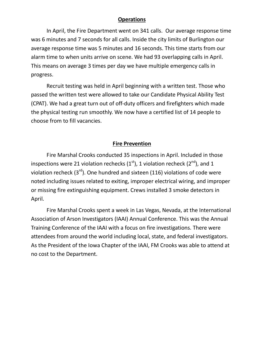#### **Operations**

In April, the Fire Department went on 341 calls. Our average response time was 6 minutes and 7 seconds for all calls. Inside the city limits of Burlington our average response time was 5 minutes and 16 seconds. This time starts from our alarm time to when units arrive on scene. We had 93 overlapping calls in April. This means on average 3 times per day we have multiple emergency calls in progress.

Recruit testing was held in April beginning with a written test. Those who passed the written test were allowed to take our Candidate Physical Ability Test (CPAT). We had a great turn out of off-duty officers and firefighters which made the physical testing run smoothly. We now have a certified list of 14 people to choose from to fill vacancies.

#### **Fire Prevention**

 Fire Marshal Crooks conducted 35 inspections in April. Included in those inspections were 21 violation rechecks  $(1<sup>st</sup>)$ , 1 violation recheck  $(2<sup>nd</sup>)$ , and 1 violation recheck  $(3<sup>rd</sup>)$ . One hundred and sixteen (116) violations of code were noted including issues related to exiting, improper electrical wiring, and improper or missing fire extinguishing equipment. Crews installed 3 smoke detectors in April.

 Fire Marshal Crooks spent a week in Las Vegas, Nevada, at the International Association of Arson Investigators (IAAI) Annual Conference. This was the Annual Training Conference of the IAAI with a focus on fire investigations. There were attendees from around the world including local, state, and federal investigators. As the President of the Iowa Chapter of the IAAI, FM Crooks was able to attend at no cost to the Department.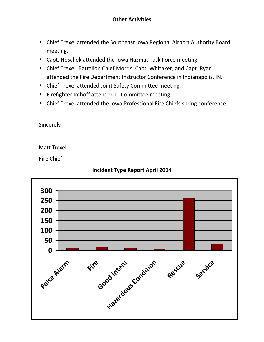## **Other Activities**

- Chief Trexel attended the Southeast Iowa Regional Airport Authority Board meeting.
- Capt. Hoschek attended the Iowa Hazmat Task Force meeting.
- Chief Trexel, Battalion Chief Morris, Capt. Whitaker, and Capt. Ryan attended the Fire Department Instructor Conference in Indianapolis, IN.
- Chief Trexel attended Joint Safety Committee meeting.
- Firefighter Imhoff attended IT Committee meeting.
- Chief Trexel attended the Iowa Professional Fire Chiefs spring conference.

Sincerely,

Matt Trexel

Fire Chief



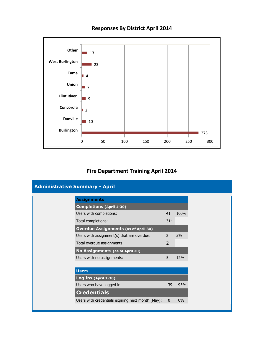

# **Responses By District April 2014**

#### **West Burlington**  $\blacksquare$  23 **Tama** 4 П **Union**  $\blacksquare$ **Flint River** 9 **Concordia** 2 **Danville**  $\blacksquare$  10 **Burlington** 273 0 50 100 150 200 250 300

## **Fire Department Training April 2014**

| <b>Administrative Summary - April</b>             |                |       |
|---------------------------------------------------|----------------|-------|
| <b>Assignments</b>                                |                |       |
| <b>Completions (April 1-30)</b>                   |                |       |
| Users with completions:                           | 41             | 100%  |
| Total completions:                                | 314            |       |
| <b>Overdue Assignments (as of April 30)</b>       |                |       |
| Users with assignment(s) that are overdue:        | 2              | 5%    |
| Total overdue assignments:                        | $\overline{2}$ |       |
| No Assignments (as of April 30)                   |                |       |
| Users with no assignments:                        | 5              | 12%   |
|                                                   |                |       |
| <b>Users</b>                                      |                |       |
| Log-ins (April 1-30)                              |                |       |
| Users who have logged in:                         | 39             | 95%   |
| <b>Credentials</b>                                |                |       |
| Users with credentials expiring next month (May): | $\mathbf{0}$   | $0\%$ |
|                                                   |                |       |